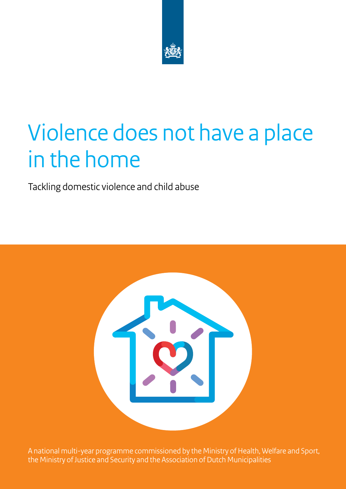

# Violence does not have a place in the home

Tackling domestic violence and child abuse



A national multi-year programme commissioned by the Ministry of Health, Welfare and Sport, the Ministry of Justice and Security and the Association of Dutch Municipalities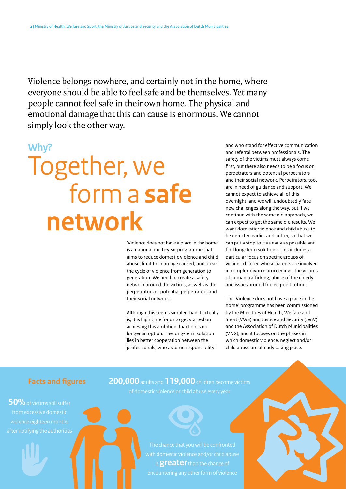Violence belongs nowhere, and certainly not in the home, where everyone should be able to feel safe and be themselves. Yet many people cannot feel safe in their own home. The physical and emotional damage that this can cause is enormous. We cannot simply look the other way.

## **Why?**

# Together, we form a **safe network**

'Violence does not have a place in the home' is a national multi-year programme that aims to reduce domestic violence and child abuse, limit the damage caused, and break the cycle of violence from generation to generation. We need to create a safety network around the victims, as well as the perpetrators or potential perpetrators and their social network.

Although this seems simpler than it actually is, it is high time for us to get started on achieving this ambition. Inaction is no longer an option. The long-term solution lies in better cooperation between the professionals, who assume responsibility

and who stand for effective communication and referral between professionals. The safety of the victims must always come first, but there also needs to be a focus on perpetrators and potential perpetrators and their social network. Perpetrators, too, are in need of guidance and support. We cannot expect to achieve all of this overnight, and we will undoubtedly face new challenges along the way, but if we continue with the same old approach, we can expect to get the same old results. We want domestic violence and child abuse to be detected earlier and better, so that we can put a stop to it as early as possible and find long-term solutions. This includes a particular focus on specific groups of victims: children whose parents are involved in complex divorce proceedings, the victims of human trafficking, abuse of the elderly and issues around forced prostitution.

The 'Violence does not have a place in the home' programme has been commissioned by the Ministries of Health, Welfare and Sport (VWS) and Justice and Security (JenV) and the Association of Dutch Municipalities (VNG), and it focuses on the phases in which domestic violence, neglect and/or child abuse are already taking place.

**50%** of victims still suffer from excessive domestic

# **Facts and figures 200,000** adults and **119,000** children become victims



The chance that you will be confronted is **greater** than the chance of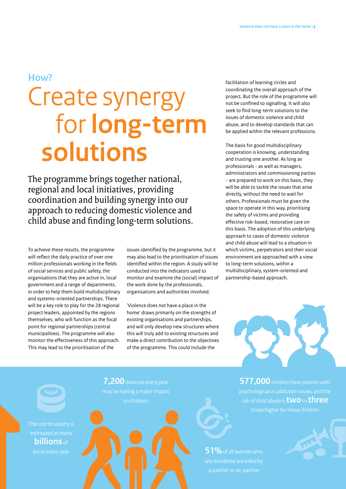# Create synergy for **long-term solutions HOW? facilitation of learning circles and**

The programme brings together national, regional and local initiatives, providing coordination and building synergy into our approach to reducing domestic violence and child abuse and finding long-term solutions.

To achieve these results, the programme will reflect the daily practice of over one million professionals working in the fields of social services and public safety, the organisations that they are active in, local government and a range of departments, in order to help them build multidisciplinary and systems-oriented partnerships. There will be a key role to play for the 28 regional project leaders, appointed by the regions themselves, who will function as the focal point for regional partnerships (central municipalities). The programme will also monitor the effectiveness of this approach. This may lead to the prioritisation of the

issues identified by the programme, but it may also lead to the prioritisation of issues identified within the region. A study will be conducted into the indicators used to monitor and examine the (social) impact of the work done by the professionals, organisations and authorities involved.

'Violence does not have a place in the home' draws primarily on the strengths of existing organisations and partnerships, and will only develop new structures where this will truly add to existing structures and make a direct contribution to the objectives of the programme. This could include the

coordinating the overall approach of the project. But the role of the programme will not be confined to signalling. It will also seek to find long-term solutions to the issues of domestic violence and child abuse, and to develop standards that can be applied within the relevant professions.

The basis for good multidisciplinary cooperation is knowing, understanding and trusting one another. As long as professionals - as well as managers, administrators and commissioning parties - are prepared to work on this basis, they will be able to tackle the issues that arise directly, without the need to wait for others. Professionals must be given the space to operate in this way, prioritising the safety of victims and providing effective risk-based, restorative care on this basis. The adoption of this underlying approach to cases of domestic violence and child abuse will lead to a situation in which victims, perpetrators and their social environment are approached with a view to long-term solutions, within a multidisciplinary, system-oriented and partnership-based approach.



**577,000** children have parents with risk of child abuse is **two** to **three** times higher for these children

**51%** of all women who are murdered are killed by a partner or ex-partner



**7,200** divorces every year

on children

**billions** of euros every year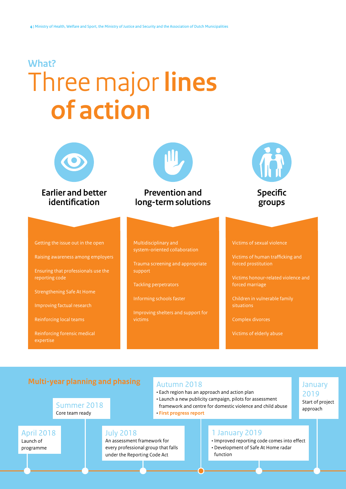# Three major **lines of action What?**



**Earlier and better identification**



# **Prevention and long-term solutions**



**Specific groups**

Getting the issue out in the open

Raising awareness among employers

Ensuring that professionals use the reporting code

Strengthening Safe At Home

Improving factual research

Reinforcing local teams

April 2018 Launch of programme

Reinforcing forensic medical expertise

#### Multidisciplinary and system-oriented collaboration

Trauma screening and appropriate support

Tackling perpetrators

Informing schools faster

Improving shelters and support for victims

#### Victims of sexual violence

Victims of human trafficking and forced prostitution

Victims honour-related violence and forced marriage

> January 2019 Start of project approach

situations

Complex divorces

Victims of elderly abuse

# **Multi-year planning and phasing**

Summer 2018 Core team ready

### Autumn 2018

- Each region has an approach and action plan
- Launch a new publicity campaign, pilots for assessment framework and centre for domestic violence and child abuse
- **First progress report**

# 1 January 2019

- Improved reporting code comes into effect
- Development of Safe At Home radar function

#### An assessment framework for every professional group that falls under the Reporting Code Act

# July 2018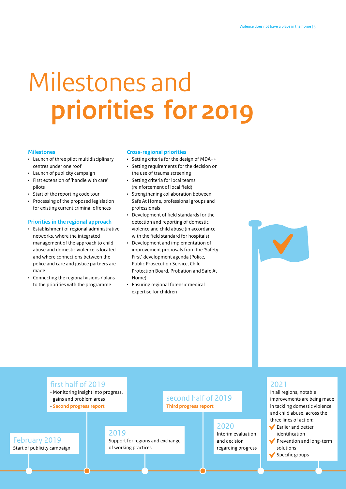# Milestones and **priorities for 2019**

#### **Milestones**

- Launch of three pilot multidisciplinary centres under one roof
- Launch of publicity campaign
- First extension of 'handle with care' pilots
- Start of the reporting code tour
- Processing of the proposed legislation for existing current criminal offences

#### **Priorities in the regional approach**

- Establishment of regional administrative networks, where the integrated management of the approach to child abuse and domestic violence is located and where connections between the police and care and justice partners are made
- Connecting the regional visions / plans to the priorities with the programme

#### **Cross-regional priorities**

- Setting criteria for the design of MDA++
- Setting requirements for the decision on the use of trauma screening
- Setting criteria for local teams (reinforcement of local field)
- Strengthening collaboration between Safe At Home, professional groups and professionals
- Development of field standards for the detection and reporting of domestic violence and child abuse (in accordance with the field standard for hospitals)
- Development and implementation of improvement proposals from the 'Safety First' development agenda (Police, Public Prosecution Service, Child Protection Board, Probation and Safe At Home)
- Ensuring regional forensic medical expertise for children



### first half of 2019

- Monitoring insight into progress, gains and problem areas
- **Second progress report**

February 2019 Start of publicity campaign

### 2019

Support for regions and exchange of working practices

## second half of 2019 **Third progress report**

2020 Interim evaluation

and decision regarding progress

### 2021

In all regions, notable improvements are being made in tackling domestic violence and child abuse, across the three lines of action:

- **►** Earlier and better identification
- Prevention and long-term solutions
- $\blacktriangleright$  Specific groups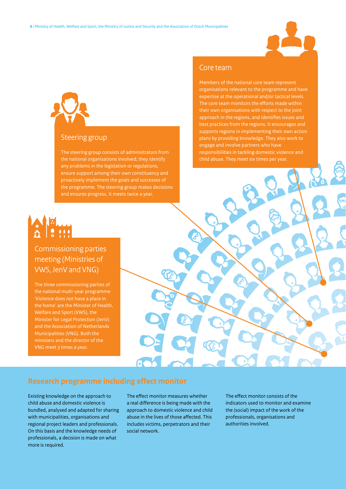

# Steering group

The steering group consists of administrators from the national organisations involved; they identify any problems in the legislation or regulations, ensure support among their own constituency and proactively implement the goals and successes of the programme. The steering group makes decisions and ensures progress. It meets twice a year.

# Commissioning parties meeting (Ministries of VWS, JenV and VNG)

The three commissioning parties of the national multi-year programme 'Violence does not have a place in Welfare and Sport (VWS), the Minister for Legal Protection (JenV) and the Association of Netherlands Municipalities (VNG). Both the ministers and the director of the VNG meet 3 times a year.

## Core team

Members of the national core team represent organisations relevant to the programme and have expertise at the operational and/or tactical levels. The core team monitors the efforts made within their own organisations with respect to the joint approach in the regions, and identifies issues and best practices from the regions. It encourages and supports regions in implementing their own action plans by providing knowledge. They also work to engage and involve partners who have responsibilities in tackling domestic violence and child abuse. They meet six times per year.

## **Research programme including effect monitor**

Existing knowledge on the approach to child abuse and domestic violence is bundled, analysed and adapted for sharing with municipalities, organisations and regional project leaders and professionals. On this basis and the knowledge needs of professionals, a decision is made on what more is required.

The effect monitor measures whether a real difference is being made with the approach to domestic violence and child abuse in the lives of those affected. This includes victims, perpetrators and their social network.

The effect monitor consists of the indicators used to monitor and examine the (social) impact of the work of the professionals, organisations and authorities involved.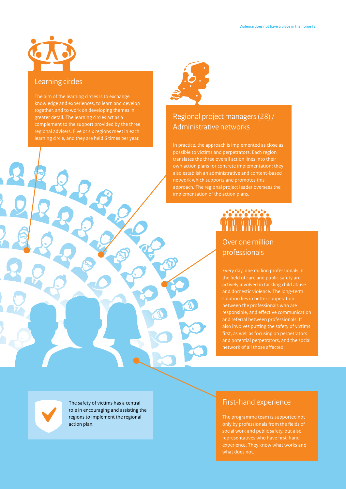### Learning circles

The aim of the learning circles is to exchange knowledge and experiences, to learn and develop together, and to work on developing themes in greater detail. The learning circles act as a complement to the support provided by the three regional advisers. Five or six regions meet in each learning circle, and they are held 6 times per year.



# Regional project managers (28) / Administrative networks

In practice, the approach is implemented as close as possible to victims and perpetrators. Each region translates the three overall action lines into their own action plans for concrete implementation; they network which supports and promotes this approach. The regional project leader oversees the implementation of the action plans.

# Over one million professionals

Every day, one million professionals in the field of care and public safety are actively involved in tackling child abuse and domestic violence. The long-term solution lies in better cooperation between the professionals who are responsible, and effective communication and referral between professionals. It also involves putting the safety of victims first, as well as focusing on perpetrators and potential perpetrators, and the social network of all those affected.

The safety of victims has a central role in encouraging and assisting the regions to implement the regional action plan.

# First-hand experience

The programme team is supported not only by professionals from the fields of social work and public safety, but also experience. They know what works and what does not.